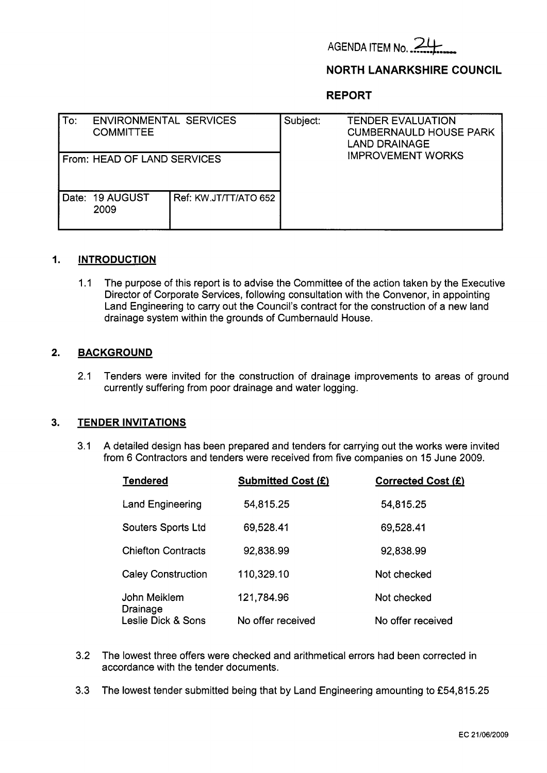

# **NORTH LANARKSHIRE COUNCIL**

**REPORT** 

| To: | <b>ENVIRONMENTAL SERVICES</b><br><b>COMMITTEE</b> |                       | Subject: | <b>TENDER EVALUATION</b><br><b>CUMBERNAULD HOUSE PARK</b><br><b>LAND DRAINAGE</b><br><b>IMPROVEMENT WORKS</b> |
|-----|---------------------------------------------------|-----------------------|----------|---------------------------------------------------------------------------------------------------------------|
|     | From: HEAD OF LAND SERVICES                       |                       |          |                                                                                                               |
|     | Date: 19 AUGUST<br>2009                           | Ref: KW.JT/TT/ATO 652 |          |                                                                                                               |

#### **1. INTRODUCTION**

1.1 The purpose of this report is to advise the Committee of the action taken by the Executive Director of Corporate Services, following consultation with the Convenor, in appointing Land Engineering to carry out the Council's contract for the construction of a new land drainage system within the grounds of Cumbernauld House.

#### **2. BACKGROUND**

**2.1** Tenders were invited for the construction of drainage improvements to areas of ground currently suffering from poor drainage and water logging.

#### **3. TENDER INVITATIONS**

**3.1** A detailed design has been prepared and tenders for carrying out the works were invited from **6** Contractors and tenders were received from five companies on 15 June **2009.** 

| <b>Tendered</b>           | <b>Submitted Cost (£)</b> | Corrected Cost (£) |
|---------------------------|---------------------------|--------------------|
| <b>Land Engineering</b>   | 54,815.25                 | 54,815.25          |
| <b>Souters Sports Ltd</b> | 69,528.41                 | 69,528.41          |
| <b>Chiefton Contracts</b> | 92,838.99                 | 92,838.99          |
| <b>Caley Construction</b> | 110,329.10                | Not checked        |
| John Meiklem<br>Drainage  | 121,784.96                | Not checked        |
| Leslie Dick & Sons        | No offer received         | No offer received  |

- **3.2** The lowest three offers were checked and arithmetical errors had been corrected in accordance with the tender documents.
- **3.3** The lowest tender submitted being that by Land Engineering amounting to **f54,815.25**